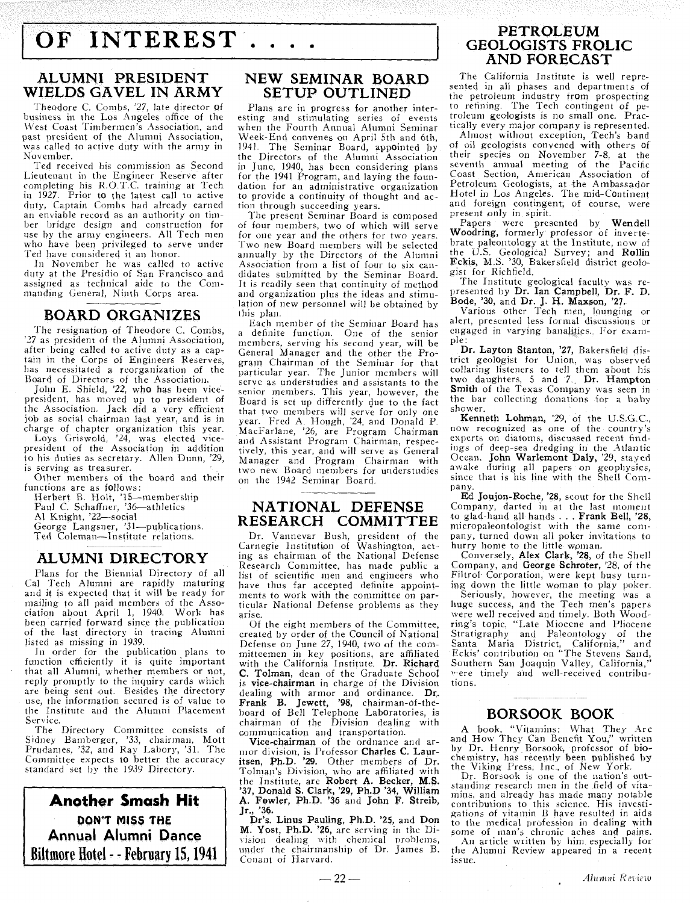# OF INTEREST....

#### **ALUMNI PRESIDENT WIELDS GAVEL IN ARMY**

Theodore C. Combs, '27, late director of business in the Los Angeles office of the West Coast Timbermen's Association, and<br>past president of the Alumni Association, was called to active duty with the army in November.

Ted received his commission as Second Lieutenant in the Engineer Reserve after completing his R.O.T.C. training at Tech in 1927. Prior to the latest call to active<br>duty, Captain Combs had already earned an enviable record as an authority on timber bridge design and construction for<br>use by the army engineers. All Tech men who have been privileged to serve under Ted have considered it an honor

In November he was called to active duty at the Presidio of San Francisco and assigned as technical aide to the Commanding General, Ninth Corps area.

#### **BOARD ORGANIZES**

The resignation of Theodore C. Combs, '27 as president of the Alumni Association, after being called to active duty as a captain in the Corps of Engineers Reserves, bas necessitated a reorganization of the Board of Directors of the Association.

John E. Shield, '22, who has been vicepresident, has moved up to president of the Association Jack did a very efficient job as social chairman last year, and is in charge of chapter organization this year Loys Griswold, '24, was elected vice-

president of the Association in addition to his duties as secretary. Allen Dunn, '29, is serving as treasurer.

Other members of the board and their functions are a5 follows:

Herbert B. Holt, '15-membership Paul C. Schaffner, '36-athletics

Al Knight, '22-social

George Langsner, '31-publications.

Ted Coleman-Institute relations.

#### **ALUMNI DIRECTORY**

Plans for the Biennial Directory of all Cal Tech Alumni are rapidly maturing and it is expected that it will be ready for mailing to all paid members of the Association about April 1, 1940. Work has been carried forward since the publication of the last directory in tracing Alumni listed as missing in 1939.

In order for the publication plans to function efficiently it is quite important that all Alumni, whether members or not, are being sent out. Besides the directory use, the information secured is of value to the Institute and the Alumni Placement Service.

The Directory Committee consists of Sidney Bamberger, '33, chairman, Mott Prudanies. '32, and Rav Labory, '31 The Committee expects to better the accuracy standard set by the 1939 Directory.

**Another Smash Hit DON'T MISS THE Annual Alumni Dance Biltmore Hotel** - - **February 15,1941** 

#### **NEW SEMINAR BOARD SETUP OUTLINED**

Plans are in progress for another interesting and stimulating series of events when the Fourth Annual Alumni Seminar Week-End convenes on April 5th and 6th, 1941 The Seminar Board, appointed by the Directors of the Alumni Association in June, 1940, has been considering plans for the 1941 Program, and laying the foundation for an administrative organization to provide a continuity of thought and action through succeeding years.

The present Seminar Board is composed<br>of four members, two of which will serve for one year and the others for two years.<br>Two new Board members will be selected annually by the Directors of the Alumni didates submitted by the Seminar Board. It is readily seen that continuity of method and organization plus the ideas and stimulation of new personnel will be obtained by

this plan.<br>Each member of the Seminar Board has a definite function. One of the senior members, serving his second year, will be General Manager and the other the Program Chairman of the Seminar for that<br>particular year. The Junior members will serve as understudies and assistants to the senior members. This year, however, the Board is set up differently due to the fact that two members will serve for only one year Fred A Hough, '24, and Donald P MacFarlane, '26, are Program Chairman and Assistant Program Chairman, respectively, this year, and will serve as General Manager and Program Chairman with two new Board members for understudies on the 1942 Seminar Board

## **NATIONAL DEFENSE RESEARCH COMMITTEE**

Dr. Vannevar Bush, president of the Carnegie Institution of Washington, acting as chairman of the National Defense Research Committee, has made public a list of scientific men and engineers who have thus far accepted definite appointments to work with the committee on particular National Defense problems as they arise.

Of the eight members of the Committee, created by order of the Council of National Defense on June 27, 1940, two of the conmitteemen in key positions, are affiliated with the California Institute. Dr. Richard C. Tolman, dean of the Graduate School is vice-chairman in charge of the Division dealing with armor and ordinance. Dr. Frank B. Jewett, **'98,** chairman-of-theboard of Bell Telephone Laboratories, is chairman of the Division dealing with communication and transportation.<br>Vice-chairman of the ordnance and ar-

mor division, is Professor Charles C. Lauritsen, Ph.D. **'29.** Other members of Dr. Tolnian's Division, who are affiliated with the Institute, are Robert A. Becker, M.S.<br>'37, Donald S. Clark, '29, Ph.D '34, William<br>A. Fowler, Ph.D. '36 and John F. Streib, Jr., **'36.** 

Dr's. Linus Pauling, Ph.D. **'25,** and Don M. Yost, Ph.D. '26, are serving in the Division dealing with chemical problems, under the chairmanship of Dr. James B. Conant of Harvard.

#### **PETROLEUM GEOLOGISTS FROLIC AND FORECAST**

The California Institute is well represented in all phases and departments of the petroleum industry from prospecting to refining. The Tech contingent of petroleum geologists is no small one. Practically every major company is represented.

Almost without exception, Tech's band of oil geologists convened with others of their species on November 7-8, at the seventh annual meeting of the Pacific Coast Section, American Association of Petroleum Geologists, at the Ambassador Hotel in Los Angeles. The mid-Continent and foreign contingent, of course, were present only in spirit.

Papers were presented by Wendell Woodring, formerly professor of invertebrate paleontology at the Institute, now of the U.S. Geological Survey; and Rollin Eckis, M.S. '30, Bakersfield district geologist for Richfield.<br>The Institute geological faculty was re-

presented by Dr. Ian Campbell, Dr. F. D. Bode, **'30,** and Dr. **J.** H. Maxson, **'27.**  Various other Tech men, lounging or

alert, presented less formal discussions or engaged in varying banalities. For example:

Dr. Layton Stanton, **'27,** Bakersfield district geologist for Union, was observed collaring listeners to tell them about his two daughters, 5 and **7** Dr. Hampton Smith of the Texas Company was seen in the bar collecting donations for a baby shower.

Kenneth Lohman, '29, of the U.S.G C., now recognized as one of the country's experts on diatoms, discussed recent findings of deep-sea dredging in the Atlantic Ocean. John Warlemont Daly, '29, stayed awake during all papers on geophysics, since that is his line with the Shell Company.

Ed Joujon-Roche, '28, scout for the Shell Company, darted in at the last moment to glad-hand all hands . . . Frank Bell, '28, micropaleontologist with the same company, turned down all poker invitations to<br>hurry home to the little woman.

Conversely, Alex Clark, '28, of the Shell Company, and George Schroter, '28, of the Filtrol Corporation, were kept busy turning down the little woman to play poker

Seriously. however, the meeting was a huge success, and the Tech men's papers were well received and timely. Both Woodring's topic. "Late Miocene and Pliocene Stratigraphy and Paleontology of the Santa Maria District, California," and Eckis' contribution on "The Stevens Sand, Southern San Joaquin Valley, California," **1%** ere timely and well-received contributions.

#### **BORSOOK BOOK**

A book, "Vitamins: What They Are and How They Can Benefit You," written by Dr. Henry Borsook, professor of bio-chemistry, has recently been published by the Viking Press, Inc., of New York.

Dr. Rorsook is one of the nation's outstanding research men in the field of vitamins, and already has made many notable contributions to this science. His investigations of vitamin B have resulted in aids to the medical profession in dealing with some of man's chronic aches and pains. An article written by him especially for the Alumni Review appeared in a recent issue.

 $\bar{z}$ 

 $-22-$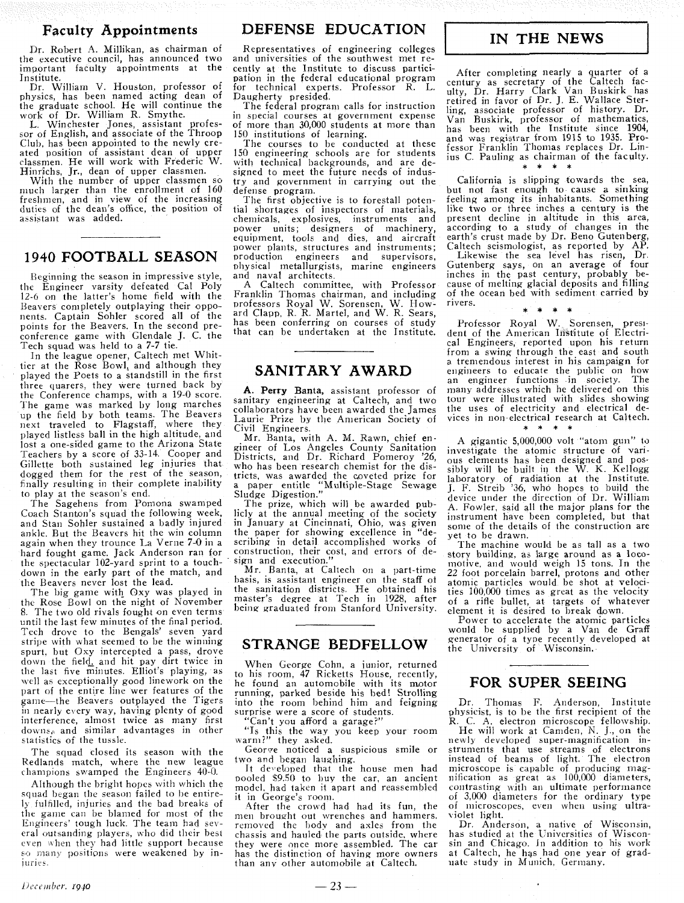#### **Faculty Appointments**

Dr. Robert A. Millikan, as chairman of the executive council, has announced two important faculty appointments at the Institute.

Dr. William V. Houston, professor of physics, has been named acting dean of the graduate school. He will continue the work of Dr. William R. Smythe.

L. Winchester Jones, assistant profes-<br>sor of English, and associate of the Throop Club, has been appointed to the newly created position of assistant dean of upper classmen He will work with Frederic W.

Hinrichs, Jr., dean of upper classmen.<br>With the number of upper classmen so much larger than the enrollment of 160 freshmen, and in view of the increasing duties of the dean's office, the position of assistant was added.

## **1940 FOOTBALL SEASON**

Beginning the season in impressive style, the Engineer varsity defeated Cal Poly 12-6 on the latter's home field with the Beavers completely outplaying their opponents. Captain Sohler scored all of the points for the Beavers. In the second preconference game with Glendale J. C. the Tech squad was held to a 7-7 tie.

In the league opener, Caltech met Whittier at the Rose Bowl; and although they played the Poets to a standstill in the first three quarers, they were turned back by the Conference champs, with a 19-0 score. The game was marked by long marches up the field by both teams. The Beavers next traveled to Flagstaff, where they played listless ball in the high altitude, and lost a one-sided game to the Arizona State Teachers by a score of 33-14. Cooper and Gillette both sustained leg injuries that dogged them for the rest of the season, finally resulting in their complete inability to play at the season's end.

The Sagehens from Poniona swamped Coach Stanton's squad the following week, and Stan Sohler sustained a badly injured ankle. But the Beavers hit the win column again when they trounce La Verne 7-0 in a hard fought game. Jack Anderson ran for the spectacular 102-yard sprint to a touchdown in the early part of the match, and the Beavers never lost the lead.

The big game with Oxy was played in the Rose Bowl on the night of November 8. The two old rivals fought on even terms until the last few minutes of the final period. Tech drove to the Bengals' seven yard stripe with what seemed to be the winning spurt, but Oxy intercepted a pass, drove down the field, and hit pay dirt twice in the last five minutes. Elliot's playing, as well as exceptionally good linework on the part of the entire line wer features of the game-the Beavers outplayed the Tigers in nearly every way, having plenty of good interference, almost twice as many first downs, and similar advantages in other statistics of the tussle.

The squad closed its season with the Redlands match, where the new league champions swamped the Engineers 40-0.

Although the bright hopes with which the squad began the season failed to be entire-1j fulfilled, injuriek and the bad breaks of the game can be blamed for most of the Engineers' tough luck. The team had several outsanding players, who did their best even when they had little support because so many positions were weakened by in-<br>juries.

#### **DEFENSE EDUCATION**

Representatives of engineering colleges and universities of the southwest met recently at the Institute to discuss participation in the federal educational program for technical experts. Professor R. L. Daugherty presided.

The federal program calls for instruction in special courses at government expense of more than 30,000 students at more than 150 institutions of learning.

The courses to be conducted at these 150 engineering schools are for students with technical backgrounds, and are designed to meet the future needs of industry and government in carrying out the defense program.

The first objective is to forestall potential shortages of inspectors of materials, chemicals, explosives, instruments and power units; designers of machinery, equipment, tools and dies, and aircraft power plants, structures and instruments; production engineers and supervisors, physical metallurgists, marine engineers and naval architects.

A Caltech committee, with Professor Franklin Thomas chairman, and including professors Royal W. Sorensen, W. How-<br>ard Clapp, R. R. Martel, and W. R. Sears, has been conferring on courses of study that can be undertaken at the Institute.

#### **SANITARY AWARD**

A. **Perry Banta,** assistant professor of sanitary engineering at Caltech, and two collaborators have been awarded the James Laurie Prize by the American Society of

Civil Engineers. Mr. Banta. with A. M. Rawn. chief en- gineer of Los Angeles County Sanitation gineer of Los Angeles County Sanitation<br>Districts, and Dr. Richard Pomeroy '26, who has been research chemist for the districts, was awarded the coveted prize for a paper entitle "Multiple-Stage Sewage Sludge Digestion."

The prize, which will be awarded publicly at the annual meeting of the society in January at Cincinnati, Ohio, was given<br>the paper for showing excellence in "dethe paper for showing excellence in scribing in detail accomplished works of construction, their cost, and errors of design and execution.

Mr. Banta, at Caltech on a part-time basis, is assistant engineer on the staff ot the sanitation districts. He obtained his master's degree at Tech in 1928, after being' graduated from Stanford University.

#### **STRANGE BEDFELLOW**

When George Cohn, a junior, returned to his room, 47 Ricketts House, recently, he found an automobile with its motor running, parked beside his bed! Strolling into the room behind him and feigning surprise were a score of students.

Can't you afford a garage?

"Is this the way you keep your room warm?" they asked.

George noticed a suspicious smile or two and began laughing.

It developed that the house men had pooled \$9.50 to buy the car, an ancient model, had taken it apart and reassembled

After the crowd had had its fun, the men brought out wrenches and hammers. removed the body and axles from the chassis and hauled the parts outside, where<br>they were once more assembled. The car has the distinction of having more owners than any other automobile at Caltech.

# **IN THE NEWS**

After completing nearly a quarter of a century as secretary of the Caltech fac-ulty, Dr. Harry Clark Van Buskirk has retired in favor of Dr. J. E. Wallace Sterling, associate professor of history. Dr. Van Buskirk, professor of mathematics, has been with the Institute since 1904, and was registrar from 1915 to 1935. Professor Franklin Thomas replaces Dr. Linius C. Pauling as chairman of the faculty.<br> $* * * * *$ 

California is slipping towards the sea,<br>but not fast enough to cause a sinking feeling among its inhabitants. Something like two or three inches a century is the present decline in altitude in this area, according to a study of changes in the earth's crust made by Dr. Beno Gutenberg, Caltech seismologist, as reported by AP.

Likewise the sea level has risen, Dr.<br>utenberg says on an average of four Gutenberg says, on an average of four inches in the past century, probably because of melting glacial deposits and filling of the ocean bed with sediment carried by<br>rivers. rivers.  $* * * *$ 

Professor Royal W. Sorensen, president of the American Institute of Electrical Engineers, reported upon his return<br>from a swing through the east and south a tremendous interest in his campaign for engineers to educate the public on how an engineer functions in society. The many addresses which he delivered on this tour were illustrated with slides showing the uses of electricity and electrical devices in non-electrical research at Caltech.

A gigantic 5,000,000 volt "atom gun" to investigate the atomic structure of various elements has been designed and possibly will be built in the W. K. Kellogg laboratory of radiation at the Institute. J. F. Streib *'36,* who hopes to build the device under the direction of Dr. William A. Fowler, said all the major plans for the some of the details of the construction are yet to be drawn.

The machine would he as tall as a two story building, as large around as a locomotive, and would weigh 15 tons. In the 22 foot porcelain barrel, protons and other atomic particles would be shot at velocities 100,000 times as great as the velocity of a rifle bullet, at targets of whatever element it is desired to break down.

Power to accelerate the atomic particles would be supplied by a Van de Graff qenerator of a type recently developed at the University of Wisconsin.

#### **FOR SUPER SEEING**

Dr. Thomas F. Anderson, Institute physicist, is to be the first recipient of the R C. A. electron microscope fellowship. He will work at Camden, N. J., on the newly developed super-magnification instruments that use streams of electrons instead of beams of light. The electron microscope is capable of producing mag-<br>nification as great as 100,000 diameters, contrasting with an ultimate performance of 3,000 diameters for the ordinary type of microscopes, even when using ultra- violet light.

Dr. Anderson, a native of Wisconsin, has studied at the Iniversities of Wisconsin and Chicago. In addition to his work at Caltech, he has had one year of graduate study in Munich, Germany.

 $-23-$